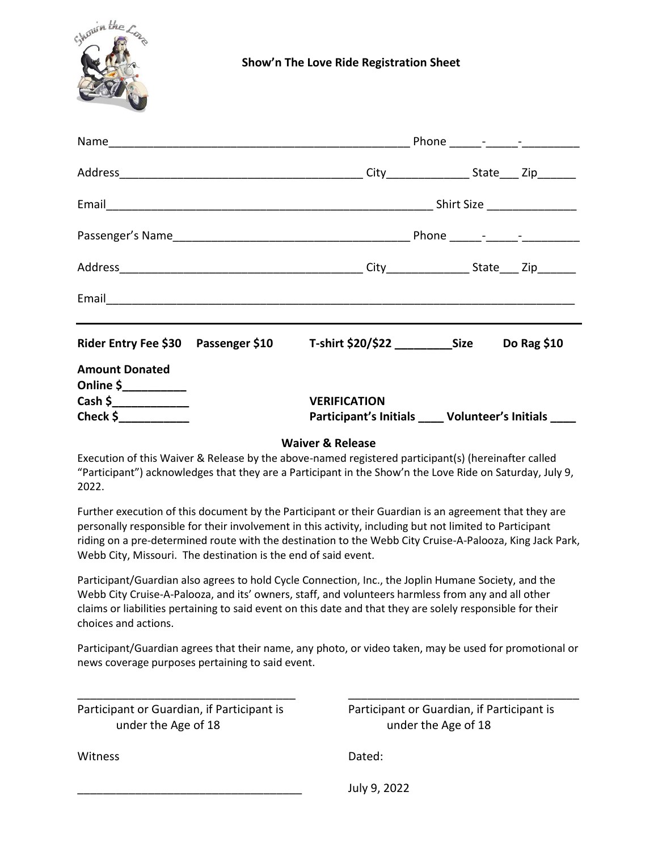

|                                                                                                                                 | Email 2008 - 2008 - 2019 - 2019 - 2019 - 2019 - 2019 - 2019 - 2019 - 2019 - 2019 - 2019 - 2019 - 2019 - 2019 - 2019 - 2019 - 2019 - 2019 - 2019 - 2019 - 2019 - 2019 - 2019 - 2019 - 2019 - 2019 - 2019 - 2019 - 2019 - 2019 - |  |  |  |  |
|---------------------------------------------------------------------------------------------------------------------------------|--------------------------------------------------------------------------------------------------------------------------------------------------------------------------------------------------------------------------------|--|--|--|--|
|                                                                                                                                 |                                                                                                                                                                                                                                |  |  |  |  |
| <b>Amount Donated</b><br>Online $\frac{\zeta_{\text{max}}}{\zeta_{\text{max}}}$<br>Cash \$______________<br>Check $\frac{1}{2}$ | <b>VERIFICATION</b><br>Participant's Initials _____ Volunteer's Initials _____                                                                                                                                                 |  |  |  |  |

## **Waiver & Release**

Execution of this Waiver & Release by the above-named registered participant(s) (hereinafter called "Participant") acknowledges that they are a Participant in the Show'n the Love Ride on Saturday, July 9, 2022.

Further execution of this document by the Participant or their Guardian is an agreement that they are personally responsible for their involvement in this activity, including but not limited to Participant riding on a pre-determined route with the destination to the Webb City Cruise-A-Palooza, King Jack Park, Webb City, Missouri. The destination is the end of said event.

Participant/Guardian also agrees to hold Cycle Connection, Inc., the Joplin Humane Society, and the Webb City Cruise-A-Palooza, and its' owners, staff, and volunteers harmless from any and all other claims or liabilities pertaining to said event on this date and that they are solely responsible for their choices and actions.

Participant/Guardian agrees that their name, any photo, or video taken, may be used for promotional or news coverage purposes pertaining to said event.

\_\_\_\_\_\_\_\_\_\_\_\_\_\_\_\_\_\_\_\_\_\_\_\_\_\_\_\_\_\_\_\_\_\_ \_\_\_\_\_\_\_\_\_\_\_\_\_\_\_\_\_\_\_\_\_\_\_\_\_\_\_\_\_\_\_\_\_\_\_\_

Participant or Guardian, if Participant is Participant or Guardian, if Participant is under the Age of 18 under the Age of 18

Witness Dated:

\_\_\_\_\_\_\_\_\_\_\_\_\_\_\_\_\_\_\_\_\_\_\_\_\_\_\_\_\_\_\_\_\_\_\_ July 9, 2022